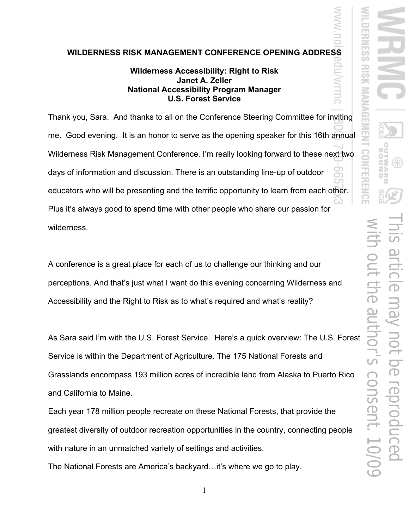## **WILDERNESS RISK MANAGEMENT CONFERENCE OPENING ADDRESS**

## **Wilderness Accessibility: Right to Risk Janet A. Zeller National Accessibility Program Manager U.S. Forest Service**

Thank you, Sara. And thanks to all on the Conference Steering Committee for inviting me. Good evening. It is an honor to serve as the opening speaker for this 16th annual Wilderness Risk Management Conference. I'm really looking forward to these next two days of information and discussion. There is an outstanding line-up of outdoor educators who will be presenting and the terrific opportunity to learn from each other. Plus it's always good to spend time with other people who share our passion for wilderness.

A conference is a great place for each of us to challenge our thinking and our perceptions. And that's just what I want do this evening concerning Wilderness and Accessibility and the Right to Risk as to what's required and what's reality?

As Sara said I'm with the U.S. Forest Service. Here's a quick overview: The U.S. Forest Service is within the Department of Agriculture. The 175 National Forests and Grasslands encompass 193 million acres of incredible land from Alaska to Puerto Rico and California to Maine.

Each year 178 million people recreate on these National Forests, that provide the greatest diversity of outdoor recreation opportunities in the country, connecting people with nature in an unmatched variety of settings and activities.

The National Forests are America's backyard…it's where we go to play.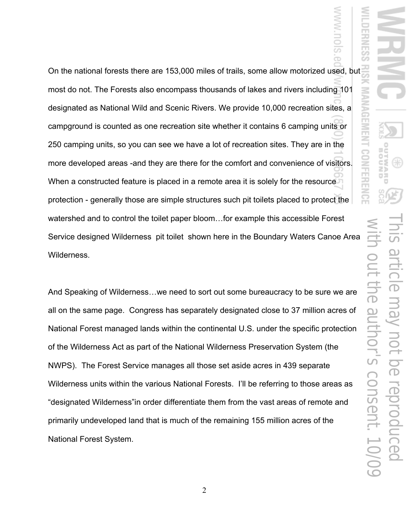On the national forests there are 153,000 miles of trails, some allow motorized used, but most do not. The Forests also encompass thousands of lakes and rivers including 101 designated as National Wild and Scenic Rivers. We provide 10,000 recreation sites, a campground is counted as one recreation site whether it contains 6 camping units or 250 camping units, so you can see we have a lot of recreation sites. They are in the more developed areas -and they are there for the comfort and convenience of visitors. When a constructed feature is placed in a remote area it is solely for the resource protection - generally those are simple structures such pit toilets placed to protect the watershed and to control the toilet paper bloom…for example this accessible Forest Service designed Wilderness pit toilet shown here in the Boundary Waters Canoe Area Wilderness.

And Speaking of Wilderness…we need to sort out some bureaucracy to be sure we are all on the same page. Congress has separately designated close to 37 million acres of National Forest managed lands within the continental U.S. under the specific protection of the Wilderness Act as part of the National Wilderness Preservation System (the NWPS). The Forest Service manages all those set aside acres in 439 separate Wilderness units within the various National Forests. I'll be referring to those areas as "designated Wilderness"in order differentiate them from the vast areas of remote and primarily undeveloped land that is much of the remaining 155 million acres of the National Forest System.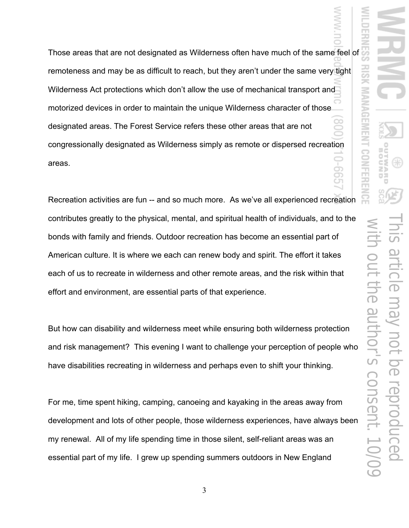Those areas that are not designated as Wilderness often have much of the same feel of remoteness and may be as difficult to reach, but they aren't under the same very tight Wilderness Act protections which don't allow the use of mechanical transport and motorized devices in order to maintain the unique Wilderness character of those designated areas. The Forest Service refers these other areas that are not congressionally designated as Wilderness simply as remote or dispersed recreation areas. o)

Recreation activities are fun -- and so much more. As we've all experienced recreation contributes greatly to the physical, mental, and spiritual health of individuals, and to the bonds with family and friends. Outdoor recreation has become an essential part of American culture. It is where we each can renew body and spirit. The effort it takes each of us to recreate in wilderness and other remote areas, and the risk within that effort and environment, are essential parts of that experience.

But how can disability and wilderness meet while ensuring both wilderness protection and risk management? This evening I want to challenge your perception of people who have disabilities recreating in wilderness and perhaps even to shift your thinking.

For me, time spent hiking, camping, canoeing and kayaking in the areas away from development and lots of other people, those wilderness experiences, have always been my renewal. All of my life spending time in those silent, self-reliant areas was an essential part of my life. I grew up spending summers outdoors in New England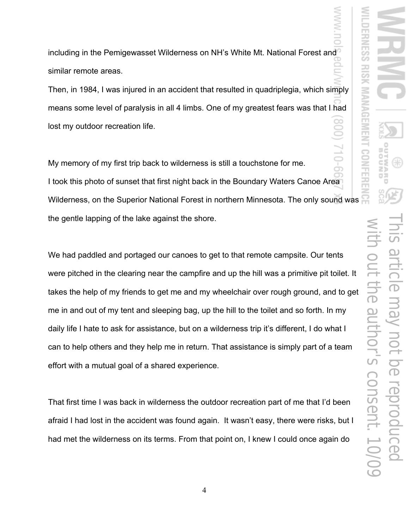including in the Pemigewasset Wilderness on NH's White Mt. National Forest and similar remote areas.

Then, in 1984, I was injured in an accident that resulted in quadriplegia, which simply means some level of paralysis in all 4 limbs. One of my greatest fears was that I had lost my outdoor recreation life.

My memory of my first trip back to wilderness is still a touchstone for me. I took this photo of sunset that first night back in the Boundary Waters Canoe Area Wilderness, on the Superior National Forest in northern Minnesota. The only sound was the gentle lapping of the lake against the shore.

We had paddled and portaged our canoes to get to that remote campsite. Our tents were pitched in the clearing near the campfire and up the hill was a primitive pit toilet. It takes the help of my friends to get me and my wheelchair over rough ground, and to get me in and out of my tent and sleeping bag, up the hill to the toilet and so forth. In my daily life I hate to ask for assistance, but on a wilderness trip it's different, I do what I can to help others and they help me in return. That assistance is simply part of a team effort with a mutual goal of a shared experience.

That first time I was back in wilderness the outdoor recreation part of me that I'd been afraid I had lost in the accident was found again. It wasn't easy, there were risks, but I had met the wilderness on its terms. From that point on, I knew I could once again do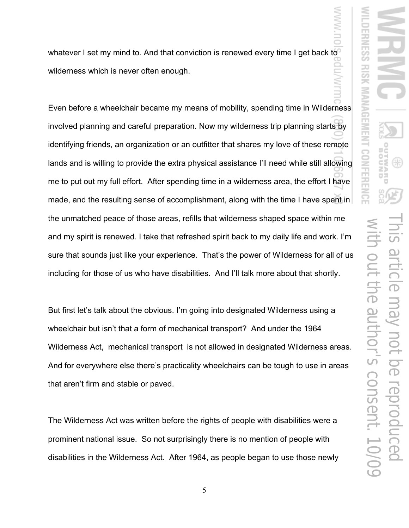whatever I set my mind to. And that conviction is renewed every time I get back to wilderness which is never often enough.

Even before a wheelchair became my means of mobility, spending time in Wilderness involved planning and careful preparation. Now my wilderness trip planning starts by identifying friends, an organization or an outfitter that shares my love of these remote lands and is willing to provide the extra physical assistance I'll need while still allowing me to put out my full effort. After spending time in a wilderness area, the effort I have made, and the resulting sense of accomplishment, along with the time I have spent in the unmatched peace of those areas, refills that wilderness shaped space within me and my spirit is renewed. I take that refreshed spirit back to my daily life and work. I'm sure that sounds just like your experience. That's the power of Wilderness for all of us including for those of us who have disabilities. And I'll talk more about that shortly.

But first let's talk about the obvious. I'm going into designated Wilderness using a wheelchair but isn't that a form of mechanical transport? And under the 1964 Wilderness Act, mechanical transport is not allowed in designated Wilderness areas. And for everywhere else there's practicality wheelchairs can be tough to use in areas that aren't firm and stable or paved.

The Wilderness Act was written before the rights of people with disabilities were a prominent national issue. So not surprisingly there is no mention of people with disabilities in the Wilderness Act. After 1964, as people began to use those newly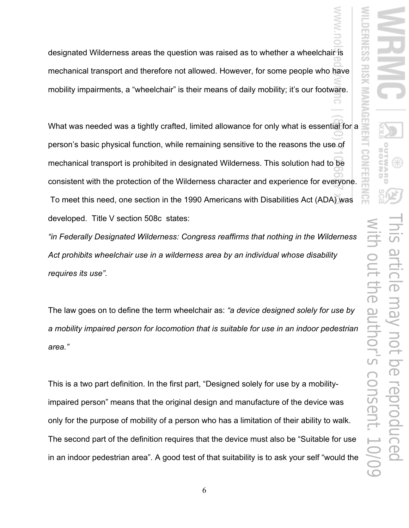designated Wilderness areas the question was raised as to whether a wheelchair is mechanical transport and therefore not allowed. However, for some people who have mobility impairments, a "wheelchair" is their means of daily mobility; it's our footware.

What was needed was a tightly crafted, limited allowance for only what is essential for a person's basic physical function, while remaining sensitive to the reasons the use of mechanical transport is prohibited in designated Wilderness. This solution had to be consistent with the protection of the Wilderness character and experience for everyone. To meet this need, one section in the 1990 Americans with Disabilities Act (ADA) was developed. Title V section 508c states:

*"in Federally Designated Wilderness: Congress reaffirms that nothing in the Wilderness Act prohibits wheelchair use in a wilderness area by an individual whose disability requires its use".* 

The law goes on to define the term wheelchair as: *"a device designed solely for use by a mobility impaired person for locomotion that is suitable for use in an indoor pedestrian area."* 

This is a two part definition. In the first part, "Designed solely for use by a mobilityimpaired person" means that the original design and manufacture of the device was only for the purpose of mobility of a person who has a limitation of their ability to walk. The second part of the definition requires that the device must also be "Suitable for use in an indoor pedestrian area". A good test of that suitability is to ask your self "would the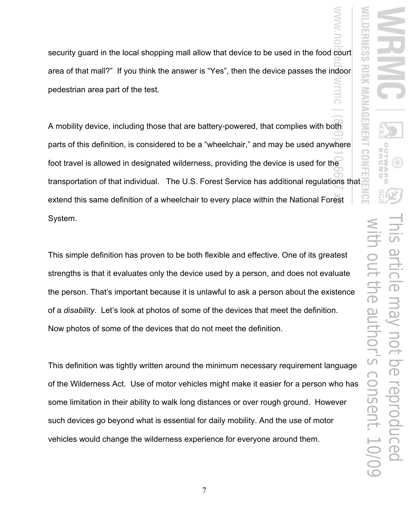security guard in the local shopping mall allow that device to be used in the food court area of that mall?" If you think the answer is "Yes", then the device passes the indoor pedestrian area part of the test. 3

A mobility device, including those that are battery-powered, that complies with both parts of this definition, is considered to be a "wheelchair," and may be used anywhere foot travel is allowed in designated wilderness, providing the device is used for the transportation of that individual. The U.S. Forest Service has additional regulations that extend this same definition of a wheelchair to every place within the National Forest System.

This simple definition has proven to be both flexible and effective. One of its greatest strengths is that it evaluates only the device used by a person, and does not evaluate the person. That's important because it is unlawful to ask a person about the existence of a *disability*. Let's look at photos of some of the devices that meet the definition. Now photos of some of the devices that do not meet the definition.

This definition was tightly written around the minimum necessary requirement language of the Wilderness Act. Use of motor vehicles might make it easier for a person who has some limitation in their ability to walk long distances or over rough ground. However such devices go beyond what is essential for daily mobility. And the use of motor vehicles would change the wilderness experience for everyone around them.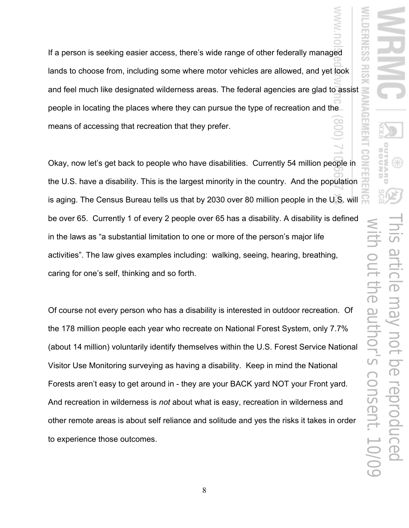If a person is seeking easier access, there's wide range of other federally managed lands to choose from, including some where motor vehicles are allowed, and yet look and feel much like designated wilderness areas. The federal agencies are glad to assist people in locating the places where they can pursue the type of recreation and the means of accessing that recreation that they prefer.

Okay, now let's get back to people who have disabilities. Currently 54 million people in the U.S. have a disability. This is the largest minority in the country. And the population is aging. The Census Bureau tells us that by 2030 over 80 million people in the U.S. will be over 65. Currently 1 of every 2 people over 65 has a disability. A disability is defined in the laws as "a substantial limitation to one or more of the person's major life activities". The law gives examples including: walking, seeing, hearing, breathing, caring for one's self, thinking and so forth.

Of course not every person who has a disability is interested in outdoor recreation. Of the 178 million people each year who recreate on National Forest System, only 7.7% (about 14 million) voluntarily identify themselves within the U.S. Forest Service National Visitor Use Monitoring surveying as having a disability. Keep in mind the National Forests aren't easy to get around in - they are your BACK yard NOT your Front yard. And recreation in wilderness is *not* about what is easy, recreation in wilderness and other remote areas is about self reliance and solitude and yes the risks it takes in order to experience those outcomes.

8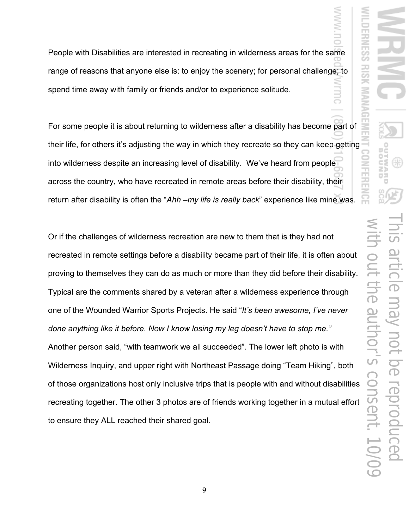People with Disabilities are interested in recreating in wilderness areas for the same range of reasons that anyone else is: to enjoy the scenery; for personal challenge; to spend time away with family or friends and/or to experience solitude.

For some people it is about returning to wilderness after a disability has become part of their life, for others it's adjusting the way in which they recreate so they can keep getting into wilderness despite an increasing level of disability. We've heard from people across the country, who have recreated in remote areas before their disability, their return after disability is often the "*Ahh –my life is really back*" experience like mine was.

Or if the challenges of wilderness recreation are new to them that is they had not recreated in remote settings before a disability became part of their life, it is often about proving to themselves they can do as much or more than they did before their disability. Typical are the comments shared by a veteran after a wilderness experience through one of the Wounded Warrior Sports Projects. He said "*It's been awesome, I've never done anything like it before. Now I know losing my leg doesn't have to stop me."*  Another person said, "with teamwork we all succeeded". The lower left photo is with Wilderness Inquiry, and upper right with Northeast Passage doing "Team Hiking", both of those organizations host only inclusive trips that is people with and without disabilities recreating together. The other 3 photos are of friends working together in a mutual effort to ensure they ALL reached their shared goal.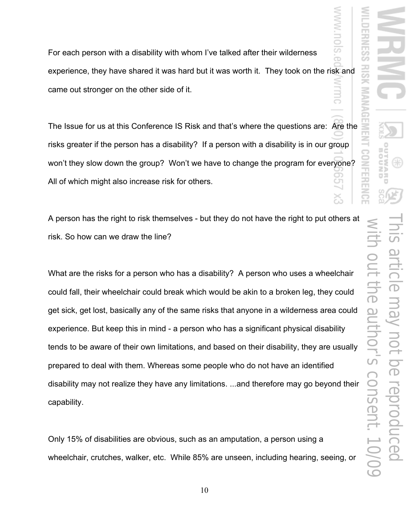For each person with a disability with whom I've talked after their wilderness experience, they have shared it was hard but it was worth it. They took on the risk and came out stronger on the other side of it.

The Issue for us at this Conference IS Risk and that's where the questions are: Are the risks greater if the person has a disability? If a person with a disability is in our group won't they slow down the group? Won't we have to change the program for everyone? All of which might also increase risk for others.

A person has the right to risk themselves - but they do not have the right to put others at risk. So how can we draw the line?

What are the risks for a person who has a disability? A person who uses a wheelchair could fall, their wheelchair could break which would be akin to a broken leg, they could get sick, get lost, basically any of the same risks that anyone in a wilderness area could experience. But keep this in mind - a person who has a significant physical disability tends to be aware of their own limitations, and based on their disability, they are usually prepared to deal with them. Whereas some people who do not have an identified disability may not realize they have any limitations. ...and therefore may go beyond their capability.

Only 15% of disabilities are obvious, such as an amputation, a person using a wheelchair, crutches, walker, etc. While 85% are unseen, including hearing, seeing, or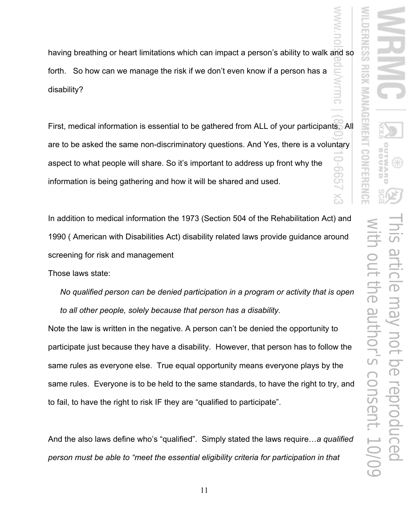having breathing or heart limitations which can impact a person's ability to walk and so forth. So how can we manage the risk if we don't even know if a person has a disability?

First, medical information is essential to be gathered from ALL of your participants. All are to be asked the same non-discriminatory questions. And Yes, there is a voluntary aspect to what people will share. So it's important to address up front why the ġ<br>S information is being gathering and how it will be shared and used.

In addition to medical information the 1973 (Section 504 of the Rehabilitation Act) and 1990 ( American with Disabilities Act) disability related laws provide guidance around screening for risk and management

Those laws state:

*No qualified person can be denied participation in a program or activity that is open to all other people, solely because that person has a disability.* 

Note the law is written in the negative. A person can't be denied the opportunity to participate just because they have a disability. However, that person has to follow the same rules as everyone else. True equal opportunity means everyone plays by the same rules. Everyone is to be held to the same standards, to have the right to try, and to fail, to have the right to risk IF they are "qualified to participate".

And the also laws define who's "qualified". Simply stated the laws require…*a qualified person must be able to "meet the essential eligibility criteria for participation in that*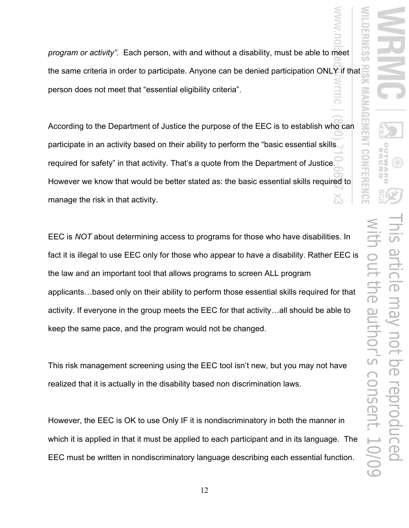*program or activity".* Each person, with and without a disability, must be able to meet the same criteria in order to participate. Anyone can be denied participation ONLY if that person does not meet that "essential eligibility criteria".

According to the Department of Justice the purpose of the EEC is to establish who can participate in an activity based on their ability to perform the "basic essential skills required for safety" in that activity. That's a quote from the Department of Justice. However we know that would be better stated as: the basic essential skills required to manage the risk in that activity. ゐ

EEC is *NOT* about determining access to programs for those who have disabilities. In fact it is illegal to use EEC only for those who appear to have a disability. Rather EEC is the law and an important tool that allows programs to screen ALL program applicants…based only on their ability to perform those essential skills required for that activity. If everyone in the group meets the EEC for that activity…all should be able to keep the same pace, and the program would not be changed.

This risk management screening using the EEC tool isn't new, but you may not have realized that it is actually in the disability based non discrimination laws.

However, the EEC is OK to use Only IF it is nondiscriminatory in both the manner in which it is applied in that it must be applied to each participant and in its language. The EEC must be written in nondiscriminatory language describing each essential function.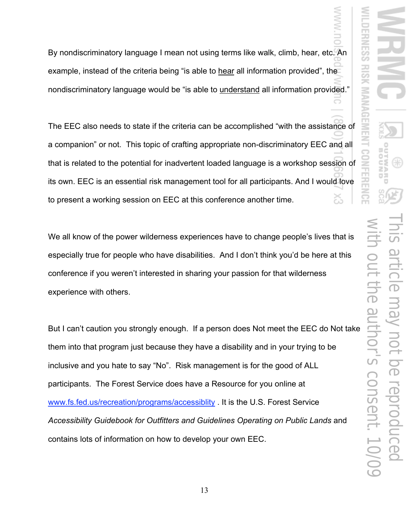By nondiscriminatory language I mean not using terms like walk, climb, hear, etc. An example, instead of the criteria being "is able to hear all information provided", the nondiscriminatory language would be "is able to understand all information provided."

The EEC also needs to state if the criteria can be accomplished "with the assistance of a companion" or not. This topic of crafting appropriate non-discriminatory EEC and all that is related to the potential for inadvertent loaded language is a workshop session of its own. EEC is an essential risk management tool for all participants. And I would love to present a working session on EEC at this conference another time.

We all know of the power wilderness experiences have to change people's lives that is especially true for people who have disabilities. And I don't think you'd be here at this conference if you weren't interested in sharing your passion for that wilderness experience with others.

But I can't caution you strongly enough. If a person does Not meet the EEC do Not take them into that program just because they have a disability and in your trying to be inclusive and you hate to say "No". Risk management is for the good of ALL participants. The Forest Service does have a Resource for you online at www.fs.fed.us/recreation/programs/accessiblity . It is the U.S. Forest Service *Accessibility Guidebook for Outfitters and Guidelines Operating on Public Lands* and contains lots of information on how to develop your own EEC.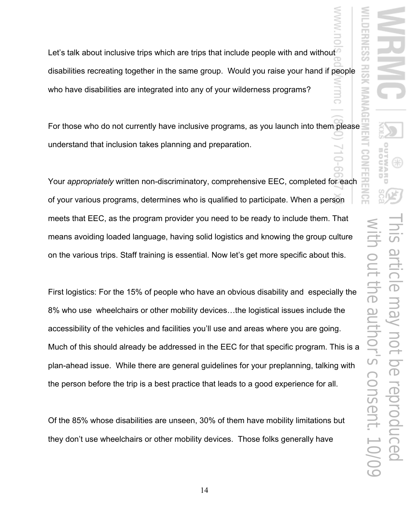$\overline{\phantom{a}}$ 

Let's talk about inclusive trips which are trips that include people with and without disabilities recreating together in the same group. Would you raise your hand if people who have disabilities are integrated into any of your wilderness programs?

For those who do not currently have inclusive programs, as you launch into them please understand that inclusion takes planning and preparation.

Your *appropriately* written non-discriminatory, comprehensive EEC, completed for each of your various programs, determines who is qualified to participate. When a person meets that EEC, as the program provider you need to be ready to include them. That means avoiding loaded language, having solid logistics and knowing the group culture on the various trips. Staff training is essential. Now let's get more specific about this.

First logistics: For the 15% of people who have an obvious disability and especially the 8% who use wheelchairs or other mobility devices…the logistical issues include the accessibility of the vehicles and facilities you'll use and areas where you are going. Much of this should already be addressed in the EEC for that specific program. This is a plan-ahead issue. While there are general guidelines for your preplanning, talking with the person before the trip is a best practice that leads to a good experience for all.

Of the 85% whose disabilities are unseen, 30% of them have mobility limitations but they don't use wheelchairs or other mobility devices. Those folks generally have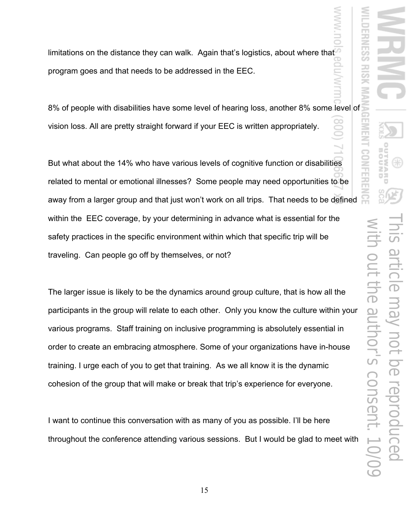limitations on the distance they can walk. Again that's logistics, about where that program goes and that needs to be addressed in the EEC.

8% of people with disabilities have some level of hearing loss, another 8% some level of vision loss. All are pretty straight forward if your EEC is written appropriately.

But what about the 14% who have various levels of cognitive function or disabilities related to mental or emotional illnesses? Some people may need opportunities to be away from a larger group and that just won't work on all trips. That needs to be defined within the EEC coverage, by your determining in advance what is essential for the safety practices in the specific environment within which that specific trip will be traveling. Can people go off by themselves, or not?

The larger issue is likely to be the dynamics around group culture, that is how all the participants in the group will relate to each other. Only you know the culture within your various programs. Staff training on inclusive programming is absolutely essential in order to create an embracing atmosphere. Some of your organizations have in-house training. I urge each of you to get that training. As we all know it is the dynamic cohesion of the group that will make or break that trip's experience for everyone.

I want to continue this conversation with as many of you as possible. I'll be here throughout the conference attending various sessions. But I would be glad to meet with